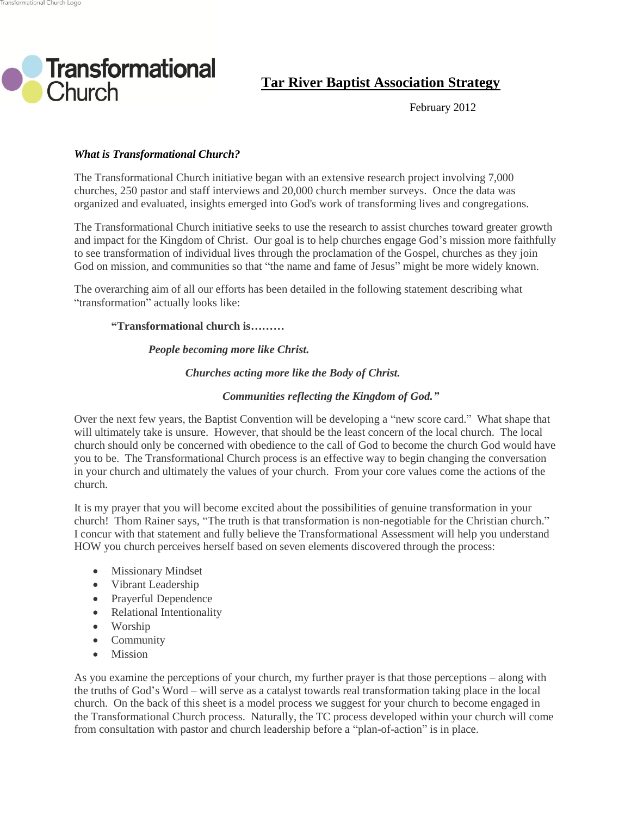

**Tar River Baptist Association Strategy**

February 2012

# *What is Transformational Church?*

The Transformational Church initiative began with an extensive research project involving 7,000 churches, 250 pastor and staff interviews and 20,000 church member surveys. Once the data was organized and evaluated, insights emerged into God's work of transforming lives and congregations.

The Transformational Church initiative seeks to use the research to assist churches toward greater growth and impact for the Kingdom of Christ. Our goal is to help churches engage God's mission more faithfully to see transformation of individual lives through the proclamation of the Gospel, churches as they join God on mission, and communities so that "the name and fame of Jesus" might be more widely known.

The overarching aim of all our efforts has been detailed in the following statement describing what "transformation" actually looks like:

## **"Transformational church is………**

## *People becoming more like Christ.*

## *Churches acting more like the Body of Christ.*

## *Communities reflecting the Kingdom of God."*

Over the next few years, the Baptist Convention will be developing a "new score card." What shape that will ultimately take is unsure. However, that should be the least concern of the local church. The local church should only be concerned with obedience to the call of God to become the church God would have you to be. The Transformational Church process is an effective way to begin changing the conversation in your church and ultimately the values of your church. From your core values come the actions of the church.

It is my prayer that you will become excited about the possibilities of genuine transformation in your church! Thom Rainer says, "The truth is that transformation is non-negotiable for the Christian church." I concur with that statement and fully believe the Transformational Assessment will help you understand HOW you church perceives herself based on seven elements discovered through the process:

- Missionary Mindset
- Vibrant Leadership
- Prayerful Dependence
- Relational Intentionality
- Worship
- Community
- Mission

As you examine the perceptions of your church, my further prayer is that those perceptions – along with the truths of God's Word – will serve as a catalyst towards real transformation taking place in the local church. On the back of this sheet is a model process we suggest for your church to become engaged in the Transformational Church process. Naturally, the TC process developed within your church will come from consultation with pastor and church leadership before a "plan-of-action" is in place.